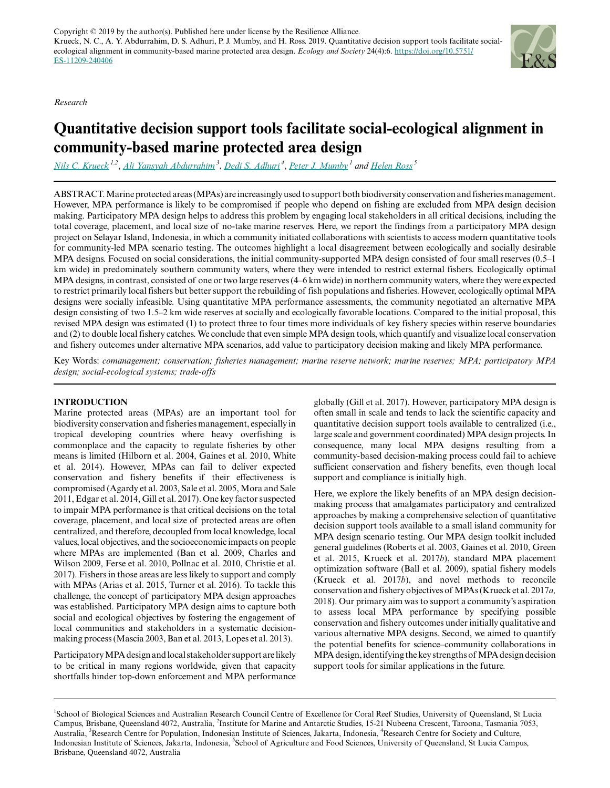*Research*



# **Quantitative decision support tools facilitate social-ecological alignment in community-based marine protected area design**

*[Nils C. Krueck](mailto:nils.krueck@uqconnect.edu.au) 1,2* , *[Ali Yansyah Abdurrahim](mailto:aliyansyah.lipi@gmail.com)<sup>3</sup>* , *[Dedi S. Adhuri](mailto:dediadhuri@hotmail.com)<sup>4</sup>* , *[Peter J. Mumby](mailto:p.j.mumby@uq.edu.au)<sup>1</sup> and [Helen Ross](mailto:helen.ross@uq.edu.au)<sup>5</sup>*

ABSTRACT. Marine protected areas (MPAs) are increasingly used to support both biodiversity conservation and fisheries management. However, MPA performance is likely to be compromised if people who depend on fishing are excluded from MPA design decision making. Participatory MPA design helps to address this problem by engaging local stakeholders in all critical decisions, including the total coverage, placement, and local size of no-take marine reserves. Here, we report the findings from a participatory MPA design project on Selayar Island, Indonesia, in which a community initiated collaborations with scientists to access modern quantitative tools for community-led MPA scenario testing. The outcomes highlight a local disagreement between ecologically and socially desirable MPA designs. Focused on social considerations, the initial community-supported MPA design consisted of four small reserves (0.5–1 km wide) in predominately southern community waters, where they were intended to restrict external fishers. Ecologically optimal MPA designs, in contrast, consisted of one or two large reserves (4–6 km wide) in northern community waters, where they were expected to restrict primarily local fishers but better support the rebuilding of fish populations and fisheries. However, ecologically optimal MPA designs were socially infeasible. Using quantitative MPA performance assessments, the community negotiated an alternative MPA design consisting of two 1.5–2 km wide reserves at socially and ecologically favorable locations. Compared to the initial proposal, this revised MPA design was estimated (1) to protect three to four times more individuals of key fishery species within reserve boundaries and (2) to double local fishery catches. We conclude that even simple MPA design tools, which quantify and visualize local conservation and fishery outcomes under alternative MPA scenarios, add value to participatory decision making and likely MPA performance.

Key Words: *comanagement; conservation; fisheries management; marine reserve network; marine reserves; MPA; participatory MPA design; social-ecological systems; trade-offs*

## **INTRODUCTION**

Marine protected areas (MPAs) are an important tool for biodiversity conservation and fisheries management, especially in tropical developing countries where heavy overfishing is commonplace and the capacity to regulate fisheries by other means is limited (Hilborn et al. 2004, Gaines et al. 2010, White et al. 2014). However, MPAs can fail to deliver expected conservation and fishery benefits if their effectiveness is compromised (Agardy et al. 2003, Sale et al. 2005, Mora and Sale 2011, Edgar et al. 2014, Gill et al. 2017). One key factor suspected to impair MPA performance is that critical decisions on the total coverage, placement, and local size of protected areas are often centralized, and therefore, decoupled from local knowledge, local values, local objectives, and the socioeconomic impacts on people where MPAs are implemented (Ban et al. 2009, Charles and Wilson 2009, Ferse et al. 2010, Pollnac et al. 2010, Christie et al. 2017). Fishers in those areas are less likely to support and comply with MPAs (Arias et al. 2015, Turner et al. 2016). To tackle this challenge, the concept of participatory MPA design approaches was established. Participatory MPA design aims to capture both social and ecological objectives by fostering the engagement of local communities and stakeholders in a systematic decisionmaking process (Mascia 2003, Ban et al. 2013, Lopes et al. 2013).

Participatory MPA design and local stakeholder support are likely to be critical in many regions worldwide, given that capacity shortfalls hinder top-down enforcement and MPA performance globally (Gill et al. 2017). However, participatory MPA design is often small in scale and tends to lack the scientific capacity and quantitative decision support tools available to centralized (i.e., large scale and government coordinated) MPA design projects. In consequence, many local MPA designs resulting from a community-based decision-making process could fail to achieve sufficient conservation and fishery benefits, even though local support and compliance is initially high.

Here, we explore the likely benefits of an MPA design decisionmaking process that amalgamates participatory and centralized approaches by making a comprehensive selection of quantitative decision support tools available to a small island community for MPA design scenario testing. Our MPA design toolkit included general guidelines (Roberts et al. 2003, Gaines et al. 2010, Green et al. 2015, Krueck et al. 2017*b*), standard MPA placement optimization software (Ball et al. 2009), spatial fishery models (Krueck et al. 2017*b*), and novel methods to reconcile conservation and fishery objectives of MPAs (Krueck et al. 2017*a,* 2018). Our primary aim was to support a community's aspiration to assess local MPA performance by specifying possible conservation and fishery outcomes under initially qualitative and various alternative MPA designs. Second, we aimed to quantify the potential benefits for science–community collaborations in MPA design, identifying the key strengths of MPA design decision support tools for similar applications in the future.

<sup>&</sup>lt;sup>1</sup>School of Biological Sciences and Australian Research Council Centre of Excellence for Coral Reef Studies, University of Queensland, St Lucia Campus, Brisbane, Queensland 4072, Australia, <sup>2</sup>Institute for Marine and Antarctic Studies, 15-21 Nubeena Crescent, Taroona, Tasmania 7053, Australia, <sup>3</sup>Research Centre for Population, Indonesian Institute of Sciences, Jakarta, Indonesia, <sup>4</sup>Research Centre for Society and Culture, Indonesian Institute of Sciences, Jakarta, Indonesia, <sup>5</sup>School of Agriculture and Food Sciences, University of Queensland, St Lucia Campus, Brisbane, Queensland 4072, Australia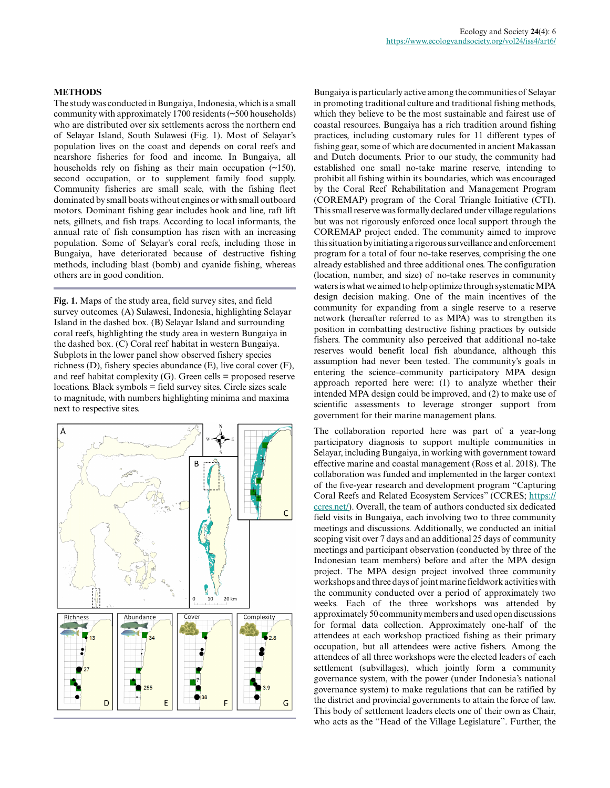#### **METHODS**

The study was conducted in Bungaiya, Indonesia, which is a small community with approximately 1700 residents (~500 households) who are distributed over six settlements across the northern end of Selayar Island, South Sulawesi (Fig. 1). Most of Selayar's population lives on the coast and depends on coral reefs and nearshore fisheries for food and income. In Bungaiya, all households rely on fishing as their main occupation  $(\sim 150)$ , second occupation, or to supplement family food supply. Community fisheries are small scale, with the fishing fleet dominated by small boats without engines or with small outboard motors. Dominant fishing gear includes hook and line, raft lift nets, gillnets, and fish traps. According to local informants, the annual rate of fish consumption has risen with an increasing population. Some of Selayar's coral reefs, including those in Bungaiya, have deteriorated because of destructive fishing methods, including blast (bomb) and cyanide fishing, whereas others are in good condition.

**Fig. 1.** Maps of the study area, field survey sites, and field survey outcomes. (A) Sulawesi, Indonesia, highlighting Selayar Island in the dashed box. (B) Selayar Island and surrounding coral reefs, highlighting the study area in western Bungaiya in the dashed box. (C) Coral reef habitat in western Bungaiya. Subplots in the lower panel show observed fishery species richness (D), fishery species abundance (E), live coral cover (F), and reef habitat complexity  $(G)$ . Green cells = proposed reserve locations. Black symbols = field survey sites. Circle sizes scale to magnitude, with numbers highlighting minima and maxima next to respective sites.



Bungaiya is particularly active among the communities of Selayar in promoting traditional culture and traditional fishing methods, which they believe to be the most sustainable and fairest use of coastal resources. Bungaiya has a rich tradition around fishing practices, including customary rules for 11 different types of fishing gear, some of which are documented in ancient Makassan and Dutch documents. Prior to our study, the community had established one small no-take marine reserve, intending to prohibit all fishing within its boundaries, which was encouraged by the Coral Reef Rehabilitation and Management Program (COREMAP) program of the Coral Triangle Initiative (CTI). This small reserve was formally declared under village regulations but was not rigorously enforced once local support through the COREMAP project ended. The community aimed to improve this situation by initiating a rigorous surveillance and enforcement program for a total of four no-take reserves, comprising the one already established and three additional ones. The configuration (location, number, and size) of no-take reserves in community waters is what we aimed to help optimize through systematic MPA design decision making. One of the main incentives of the community for expanding from a single reserve to a reserve network (hereafter referred to as MPA) was to strengthen its position in combatting destructive fishing practices by outside fishers. The community also perceived that additional no-take reserves would benefit local fish abundance, although this assumption had never been tested. The community's goals in entering the science–community participatory MPA design approach reported here were: (1) to analyze whether their intended MPA design could be improved, and (2) to make use of scientific assessments to leverage stronger support from government for their marine management plans.

The collaboration reported here was part of a year-long participatory diagnosis to support multiple communities in Selayar, including Bungaiya, in working with government toward effective marine and coastal management (Ross et al. 2018). The collaboration was funded and implemented in the larger context of the five-year research and development program "Capturing Coral Reefs and Related Ecosystem Services" (CCRES; [https://](https://ccres.net/) [ccres.net/\)](https://ccres.net/). Overall, the team of authors conducted six dedicated field visits in Bungaiya, each involving two to three community meetings and discussions. Additionally, we conducted an initial scoping visit over 7 days and an additional 25 days of community meetings and participant observation (conducted by three of the Indonesian team members) before and after the MPA design project. The MPA design project involved three community workshops and three days of joint marine fieldwork activities with the community conducted over a period of approximately two weeks. Each of the three workshops was attended by approximately 50 community members and used open discussions for formal data collection. Approximately one-half of the attendees at each workshop practiced fishing as their primary occupation, but all attendees were active fishers. Among the attendees of all three workshops were the elected leaders of each settlement (subvillages), which jointly form a community governance system, with the power (under Indonesia's national governance system) to make regulations that can be ratified by the district and provincial governments to attain the force of law. This body of settlement leaders elects one of their own as Chair, who acts as the "Head of the Village Legislature". Further, the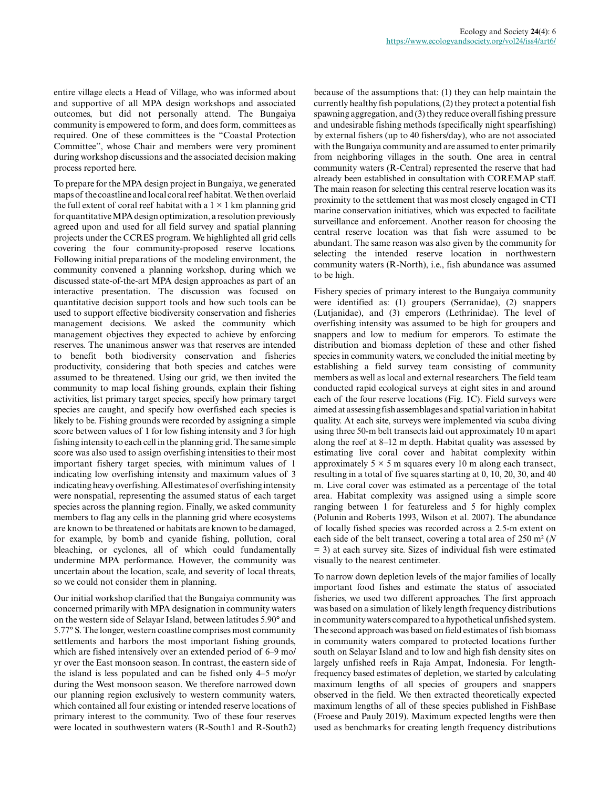entire village elects a Head of Village, who was informed about and supportive of all MPA design workshops and associated outcomes, but did not personally attend. The Bungaiya community is empowered to form, and does form, committees as required. One of these committees is the "Coastal Protection Committee", whose Chair and members were very prominent during workshop discussions and the associated decision making process reported here.

To prepare for the MPA design project in Bungaiya, we generated maps of the coastline and local coral reef habitat. We then overlaid the full extent of coral reef habitat with a  $1 \times 1$  km planning grid for quantitative MPA design optimization, a resolution previously agreed upon and used for all field survey and spatial planning projects under the CCRES program. We highlighted all grid cells covering the four community-proposed reserve locations. Following initial preparations of the modeling environment, the community convened a planning workshop, during which we discussed state-of-the-art MPA design approaches as part of an interactive presentation. The discussion was focused on quantitative decision support tools and how such tools can be used to support effective biodiversity conservation and fisheries management decisions. We asked the community which management objectives they expected to achieve by enforcing reserves. The unanimous answer was that reserves are intended to benefit both biodiversity conservation and fisheries productivity, considering that both species and catches were assumed to be threatened. Using our grid, we then invited the community to map local fishing grounds, explain their fishing activities, list primary target species, specify how primary target species are caught, and specify how overfished each species is likely to be. Fishing grounds were recorded by assigning a simple score between values of 1 for low fishing intensity and 3 for high fishing intensity to each cell in the planning grid. The same simple score was also used to assign overfishing intensities to their most important fishery target species, with minimum values of 1 indicating low overfishing intensity and maximum values of 3 indicating heavy overfishing. All estimates of overfishing intensity were nonspatial, representing the assumed status of each target species across the planning region. Finally, we asked community members to flag any cells in the planning grid where ecosystems are known to be threatened or habitats are known to be damaged, for example, by bomb and cyanide fishing, pollution, coral bleaching, or cyclones, all of which could fundamentally undermine MPA performance. However, the community was uncertain about the location, scale, and severity of local threats, so we could not consider them in planning.

Our initial workshop clarified that the Bungaiya community was concerned primarily with MPA designation in community waters on the western side of Selayar Island, between latitudes 5.90° and 5.77° S. The longer, western coastline comprises most community settlements and harbors the most important fishing grounds, which are fished intensively over an extended period of 6–9 mo/ yr over the East monsoon season. In contrast, the eastern side of the island is less populated and can be fished only 4–5 mo/yr during the West monsoon season. We therefore narrowed down our planning region exclusively to western community waters, which contained all four existing or intended reserve locations of primary interest to the community. Two of these four reserves were located in southwestern waters (R-South1 and R-South2)

because of the assumptions that: (1) they can help maintain the currently healthy fish populations, (2) they protect a potential fish spawning aggregation, and (3) they reduce overall fishing pressure and undesirable fishing methods (specifically night spearfishing) by external fishers (up to 40 fishers/day), who are not associated with the Bungaiya community and are assumed to enter primarily from neighboring villages in the south. One area in central community waters (R-Central) represented the reserve that had already been established in consultation with COREMAP staff. The main reason for selecting this central reserve location was its proximity to the settlement that was most closely engaged in CTI marine conservation initiatives, which was expected to facilitate surveillance and enforcement. Another reason for choosing the central reserve location was that fish were assumed to be abundant. The same reason was also given by the community for selecting the intended reserve location in northwestern community waters (R-North), i.e., fish abundance was assumed to be high.

Fishery species of primary interest to the Bungaiya community were identified as: (1) groupers (Serranidae), (2) snappers (Lutjanidae), and (3) emperors (Lethrinidae). The level of overfishing intensity was assumed to be high for groupers and snappers and low to medium for emperors. To estimate the distribution and biomass depletion of these and other fished species in community waters, we concluded the initial meeting by establishing a field survey team consisting of community members as well as local and external researchers. The field team conducted rapid ecological surveys at eight sites in and around each of the four reserve locations (Fig. 1C). Field surveys were aimed at assessing fish assemblages and spatial variation in habitat quality. At each site, surveys were implemented via scuba diving using three 50-m belt transects laid out approximately 10 m apart along the reef at 8–12 m depth. Habitat quality was assessed by estimating live coral cover and habitat complexity within approximately  $5 \times 5$  m squares every 10 m along each transect, resulting in a total of five squares starting at 0, 10, 20, 30, and 40 m. Live coral cover was estimated as a percentage of the total area. Habitat complexity was assigned using a simple score ranging between 1 for featureless and 5 for highly complex (Polunin and Roberts 1993, Wilson et al. 2007). The abundance of locally fished species was recorded across a 2.5-m extent on each side of the belt transect, covering a total area of 250 m² (*N* = 3) at each survey site. Sizes of individual fish were estimated visually to the nearest centimeter.

To narrow down depletion levels of the major families of locally important food fishes and estimate the status of associated fisheries, we used two different approaches. The first approach was based on a simulation of likely length frequency distributions in community waters compared to a hypothetical unfished system. The second approach was based on field estimates of fish biomass in community waters compared to protected locations further south on Selayar Island and to low and high fish density sites on largely unfished reefs in Raja Ampat, Indonesia. For lengthfrequency based estimates of depletion, we started by calculating maximum lengths of all species of groupers and snappers observed in the field. We then extracted theoretically expected maximum lengths of all of these species published in FishBase (Froese and Pauly 2019). Maximum expected lengths were then used as benchmarks for creating length frequency distributions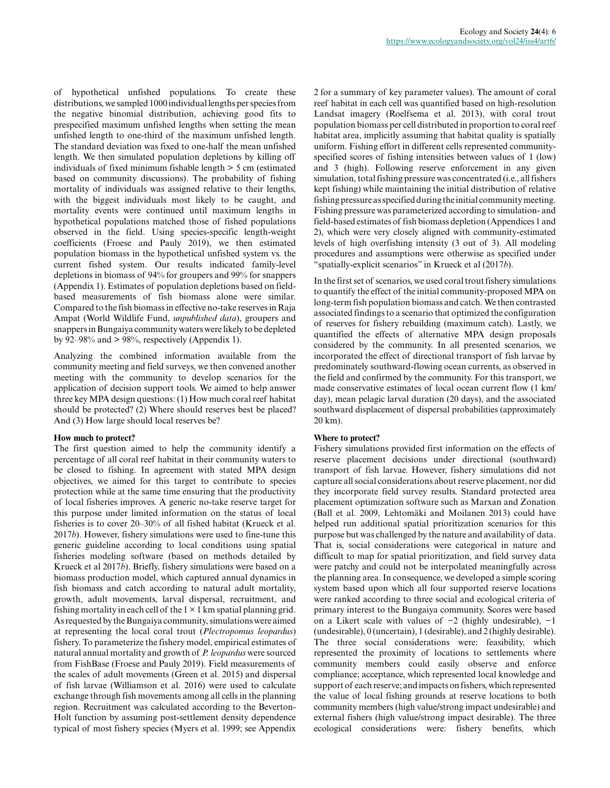of hypothetical unfished populations. To create these distributions, we sampled 1000 individual lengths per species from the negative binomial distribution, achieving good fits to prespecified maximum unfished lengths when setting the mean unfished length to one-third of the maximum unfished length. The standard deviation was fixed to one-half the mean unfished length. We then simulated population depletions by killing off individuals of fixed minimum fishable length > 5 cm (estimated based on community discussions). The probability of fishing mortality of individuals was assigned relative to their lengths, with the biggest individuals most likely to be caught, and mortality events were continued until maximum lengths in hypothetical populations matched those of fished populations observed in the field. Using species-specific length-weight coefficients (Froese and Pauly 2019), we then estimated population biomass in the hypothetical unfished system vs. the current fished system. Our results indicated family-level depletions in biomass of 94% for groupers and 99% for snappers (Appendix 1). Estimates of population depletions based on fieldbased measurements of fish biomass alone were similar. Compared to the fish biomass in effective no-take reserves in Raja Ampat (World Wildlife Fund, *unpublished data*), groupers and snappers in Bungaiya community waters were likely to be depleted by 92–98% and  $>$  98%, respectively (Appendix 1).

Analyzing the combined information available from the community meeting and field surveys, we then convened another meeting with the community to develop scenarios for the application of decision support tools. We aimed to help answer three key MPA design questions: (1) How much coral reef habitat should be protected? (2) Where should reserves best be placed? And (3) How large should local reserves be?

#### **How much to protect?**

The first question aimed to help the community identify a percentage of all coral reef habitat in their community waters to be closed to fishing. In agreement with stated MPA design objectives, we aimed for this target to contribute to species protection while at the same time ensuring that the productivity of local fisheries improves. A generic no-take reserve target for this purpose under limited information on the status of local fisheries is to cover 20–30% of all fished habitat (Krueck et al. 2017*b*). However, fishery simulations were used to fine-tune this generic guideline according to local conditions using spatial fisheries modeling software (based on methods detailed by Krueck et al 2017*b*). Briefly, fishery simulations were based on a biomass production model, which captured annual dynamics in fish biomass and catch according to natural adult mortality, growth, adult movements, larval dispersal, recruitment, and fishing mortality in each cell of the  $1 \times 1$  km spatial planning grid. As requested by the Bungaiya community, simulations were aimed at representing the local coral trout (*Plectropomus leopardus*) fishery. To parameterize the fishery model, empirical estimates of natural annual mortality and growth of *P. leopardus* were sourced from FishBase (Froese and Pauly 2019). Field measurements of the scales of adult movements (Green et al. 2015) and dispersal of fish larvae (Williamson et al. 2016) were used to calculate exchange through fish movements among all cells in the planning region. Recruitment was calculated according to the Beverton-Holt function by assuming post-settlement density dependence typical of most fishery species (Myers et al. 1999; see Appendix

2 for a summary of key parameter values). The amount of coral reef habitat in each cell was quantified based on high-resolution Landsat imagery (Roelfsema et al. 2013), with coral trout population biomass per cell distributed in proportion to coral reef habitat area, implicitly assuming that habitat quality is spatially uniform. Fishing effort in different cells represented communityspecified scores of fishing intensities between values of 1 (low) and 3 (high). Following reserve enforcement in any given simulation, total fishing pressure was concentrated (i.e., all fishers kept fishing) while maintaining the initial distribution of relative fishing pressure as specified during the initial community meeting. Fishing pressure was parameterized according to simulation- and field-based estimates of fish biomass depletion (Appendices 1 and 2), which were very closely aligned with community-estimated levels of high overfishing intensity (3 out of 3). All modeling procedures and assumptions were otherwise as specified under "spatially-explicit scenarios" in Krueck et al (2017*b*).

In the first set of scenarios, we used coral trout fishery simulations to quantify the effect of the initial community-proposed MPA on long-term fish population biomass and catch. We then contrasted associated findings to a scenario that optimized the configuration of reserves for fishery rebuilding (maximum catch). Lastly, we quantified the effects of alternative MPA design proposals considered by the community. In all presented scenarios, we incorporated the effect of directional transport of fish larvae by predominately southward-flowing ocean currents, as observed in the field and confirmed by the community. For this transport, we made conservative estimates of local ocean current flow (1 km/ day), mean pelagic larval duration (20 days), and the associated southward displacement of dispersal probabilities (approximately 20 km).

## **Where to protect?**

Fishery simulations provided first information on the effects of reserve placement decisions under directional (southward) transport of fish larvae. However, fishery simulations did not capture all social considerations about reserve placement, nor did they incorporate field survey results. Standard protected area placement optimization software such as Marxan and Zonation (Ball et al. 2009, Lehtomäki and Moilanen 2013) could have helped run additional spatial prioritization scenarios for this purpose but was challenged by the nature and availability of data. That is, social considerations were categorical in nature and difficult to map for spatial prioritization, and field survey data were patchy and could not be interpolated meaningfully across the planning area. In consequence, we developed a simple scoring system based upon which all four supported reserve locations were ranked according to three social and ecological criteria of primary interest to the Bungaiya community. Scores were based on a Likert scale with values of −2 (highly undesirable), −1 (undesirable), 0 (uncertain), 1 (desirable), and 2 (highly desirable). The three social considerations were: feasibility, which represented the proximity of locations to settlements where community members could easily observe and enforce compliance; acceptance, which represented local knowledge and support of each reserve; and impacts on fishers, which represented the value of local fishing grounds at reserve locations to both community members (high value/strong impact undesirable) and external fishers (high value/strong impact desirable). The three ecological considerations were: fishery benefits, which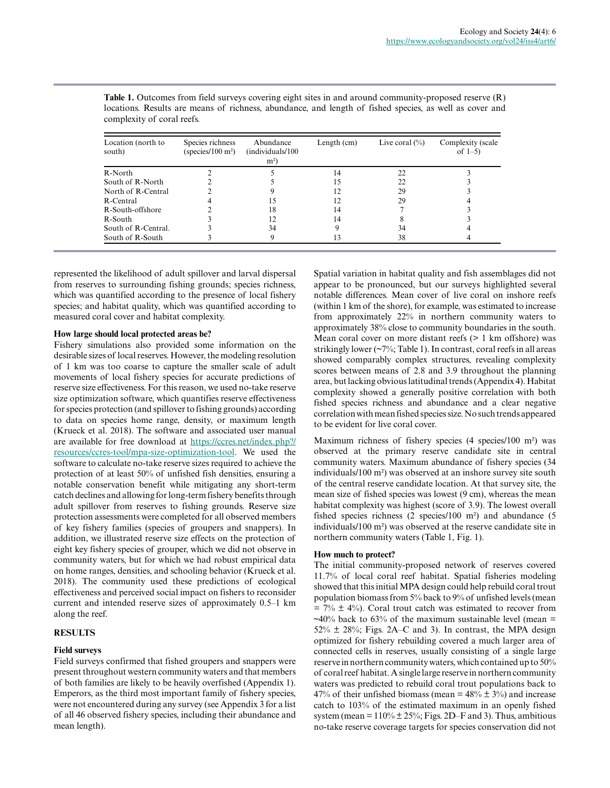| Location (north to<br>south) | Species richness<br>(species/ $100 \text{ m}^2$ ) | Abundance<br>(individuals/100)<br>m <sup>2</sup> | Length $(cm)$ | Live coral $(\% )$ | Complexity (scale<br>of $1-5$ ) |
|------------------------------|---------------------------------------------------|--------------------------------------------------|---------------|--------------------|---------------------------------|
| R-North                      |                                                   |                                                  | 14            | 22                 |                                 |
| South of R-North             |                                                   |                                                  | 15            | 22                 |                                 |
| North of R-Central           |                                                   |                                                  | 12            | 29                 |                                 |
| R-Central                    |                                                   | 15                                               | 12            | 29                 |                                 |
| R-South-offshore             |                                                   | 18                                               | 14            |                    |                                 |
| R-South                      |                                                   | 12                                               | 14            |                    |                                 |
| South of R-Central.          |                                                   | 34                                               |               | 34                 |                                 |
| South of R-South             |                                                   |                                                  | 13            | 38                 |                                 |

**Table 1.** Outcomes from field surveys covering eight sites in and around community-proposed reserve (R) locations. Results are means of richness, abundance, and length of fished species, as well as cover and complexity of coral reefs.

represented the likelihood of adult spillover and larval dispersal from reserves to surrounding fishing grounds; species richness, which was quantified according to the presence of local fishery species; and habitat quality, which was quantified according to measured coral cover and habitat complexity.

## **How large should local protected areas be?**

Fishery simulations also provided some information on the desirable sizes of local reserves. However, the modeling resolution of 1 km was too coarse to capture the smaller scale of adult movements of local fishery species for accurate predictions of reserve size effectiveness. For this reason, we used no-take reserve size optimization software, which quantifies reserve effectiveness for species protection (and spillover to fishing grounds) according to data on species home range, density, or maximum length (Krueck et al. 2018). The software and associated user manual are available for free download at [https://ccres.net/index.php?/](https://ccres.net/index.php?/resources/ccres-tool/mpa-size-optimization-tool) [resources/ccres-tool/mpa-size-optimization-tool](https://ccres.net/index.php?/resources/ccres-tool/mpa-size-optimization-tool). We used the software to calculate no-take reserve sizes required to achieve the protection of at least 50% of unfished fish densities, ensuring a notable conservation benefit while mitigating any short-term catch declines and allowing for long-term fishery benefits through adult spillover from reserves to fishing grounds. Reserve size protection assessments were completed for all observed members of key fishery families (species of groupers and snappers). In addition, we illustrated reserve size effects on the protection of eight key fishery species of grouper, which we did not observe in community waters, but for which we had robust empirical data on home ranges, densities, and schooling behavior (Krueck et al. 2018). The community used these predictions of ecological effectiveness and perceived social impact on fishers to reconsider current and intended reserve sizes of approximately 0.5–1 km along the reef.

## **RESULTS**

## **Field surveys**

Field surveys confirmed that fished groupers and snappers were present throughout western community waters and that members of both families are likely to be heavily overfished (Appendix 1). Emperors, as the third most important family of fishery species, were not encountered during any survey (see Appendix 3 for a list of all 46 observed fishery species, including their abundance and mean length).

Spatial variation in habitat quality and fish assemblages did not appear to be pronounced, but our surveys highlighted several notable differences. Mean cover of live coral on inshore reefs (within 1 km of the shore), for example, was estimated to increase from approximately 22% in northern community waters to approximately 38% close to community boundaries in the south. Mean coral cover on more distant reefs ( $> 1$  km offshore) was strikingly lower (~7%; Table 1). In contrast, coral reefs in all areas showed comparably complex structures, revealing complexity scores between means of 2.8 and 3.9 throughout the planning area, but lacking obvious latitudinal trends (Appendix 4). Habitat complexity showed a generally positive correlation with both fished species richness and abundance and a clear negative correlation with mean fished species size. No such trends appeared to be evident for live coral cover.

Maximum richness of fishery species (4 species/100 m²) was observed at the primary reserve candidate site in central community waters. Maximum abundance of fishery species (34 individuals/100 m²) was observed at an inshore survey site south of the central reserve candidate location. At that survey site, the mean size of fished species was lowest (9 cm), whereas the mean habitat complexity was highest (score of 3.9). The lowest overall fished species richness (2 species/100 m²) and abundance (5 individuals/100 m²) was observed at the reserve candidate site in northern community waters (Table 1, Fig. 1).

#### **How much to protect?**

The initial community-proposed network of reserves covered 11.7% of local coral reef habitat. Spatial fisheries modeling showed that this initial MPA design could help rebuild coral trout population biomass from 5% back to 9% of unfished levels (mean  $= 7\% \pm 4\%$ ). Coral trout catch was estimated to recover from  $\sim$ 40% back to 63% of the maximum sustainable level (mean =  $52\% \pm 28\%$ ; Figs. 2A–C and 3). In contrast, the MPA design optimized for fishery rebuilding covered a much larger area of connected cells in reserves, usually consisting of a single large reserve in northern community waters, which contained up to 50% of coral reef habitat. A single large reserve in northern community waters was predicted to rebuild coral trout populations back to 47% of their unfished biomass (mean =  $48\% \pm 3\%$ ) and increase catch to 103% of the estimated maximum in an openly fished system (mean =  $110\% \pm 25\%$ ; Figs. 2D–F and 3). Thus, ambitious no-take reserve coverage targets for species conservation did not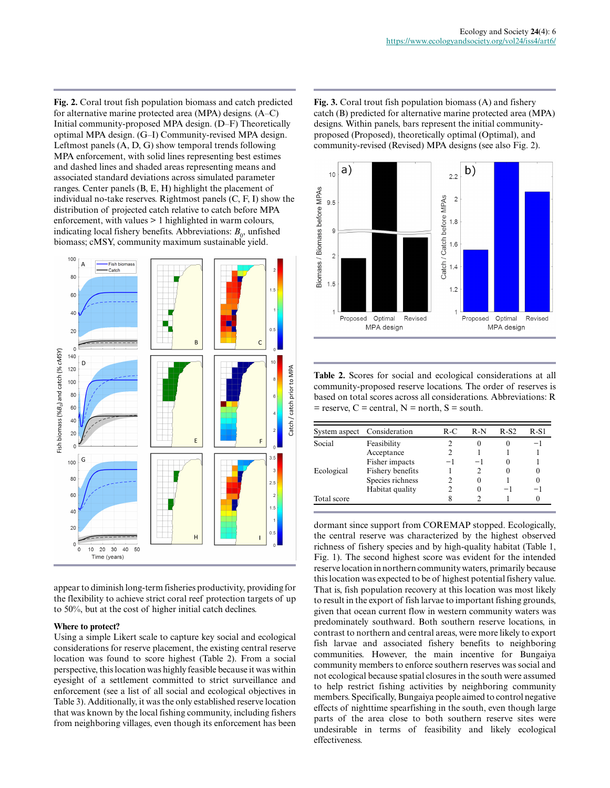**Fig. 2.** Coral trout fish population biomass and catch predicted for alternative marine protected area (MPA) designs. (A–C) Initial community-proposed MPA design. (D–F) Theoretically optimal MPA design. (G–I) Community-revised MPA design. Leftmost panels (A, D, G) show temporal trends following MPA enforcement, with solid lines representing best estimes and dashed lines and shaded areas representing means and associated standard deviations across simulated parameter ranges. Center panels (B, E, H) highlight the placement of individual no-take reserves. Rightmost panels (C, F, I) show the distribution of projected catch relative to catch before MPA enforcement, with values > 1 highlighted in warm colours, indicating local fishery benefits. Abbreviations:  $B_0$ , unfished biomass; cMSY, community maximum sustainable yield.



appear to diminish long-term fisheries productivity, providing for the flexibility to achieve strict coral reef protection targets of up to 50%, but at the cost of higher initial catch declines.

#### **Where to protect?**

Using a simple Likert scale to capture key social and ecological considerations for reserve placement, the existing central reserve location was found to score highest (Table 2). From a social perspective, this location was highly feasible because it was within eyesight of a settlement committed to strict surveillance and enforcement (see a list of all social and ecological objectives in Table 3). Additionally, it was the only established reserve location that was known by the local fishing community, including fishers from neighboring villages, even though its enforcement has been **Fig. 3.** Coral trout fish population biomass (A) and fishery catch (B) predicted for alternative marine protected area (MPA) designs. Within panels, bars represent the initial communityproposed (Proposed), theoretically optimal (Optimal), and community-revised (Revised) MPA designs (see also Fig. 2).



**Table 2.** Scores for social and ecological considerations at all community-proposed reserve locations. The order of reserves is based on total scores across all considerations. Abbreviations: R  $=$  reserve,  $C =$  central,  $N =$  north,  $S =$  south.

|             | System aspect Consideration | R-C | R-N | R-S2 | R-S1 |
|-------------|-----------------------------|-----|-----|------|------|
| Social      | Feasibility                 |     |     |      | -1   |
|             | Acceptance                  |     |     |      |      |
|             | Fisher impacts              |     |     | 0    |      |
| Ecological  | Fishery benefits            |     |     | 0    |      |
|             | Species richness            |     |     |      |      |
|             | Habitat quality             |     |     | -    | -1   |
| Total score |                             |     |     |      |      |

dormant since support from COREMAP stopped. Ecologically, the central reserve was characterized by the highest observed richness of fishery species and by high-quality habitat (Table 1, Fig. 1). The second highest score was evident for the intended reserve location in northern community waters, primarily because this location was expected to be of highest potential fishery value. That is, fish population recovery at this location was most likely to result in the export of fish larvae to important fishing grounds, given that ocean current flow in western community waters was predominately southward. Both southern reserve locations, in contrast to northern and central areas, were more likely to export fish larvae and associated fishery benefits to neighboring communities. However, the main incentive for Bungaiya community members to enforce southern reserves was social and not ecological because spatial closures in the south were assumed to help restrict fishing activities by neighboring community members. Specifically, Bungaiya people aimed to control negative effects of nighttime spearfishing in the south, even though large parts of the area close to both southern reserve sites were undesirable in terms of feasibility and likely ecological effectiveness.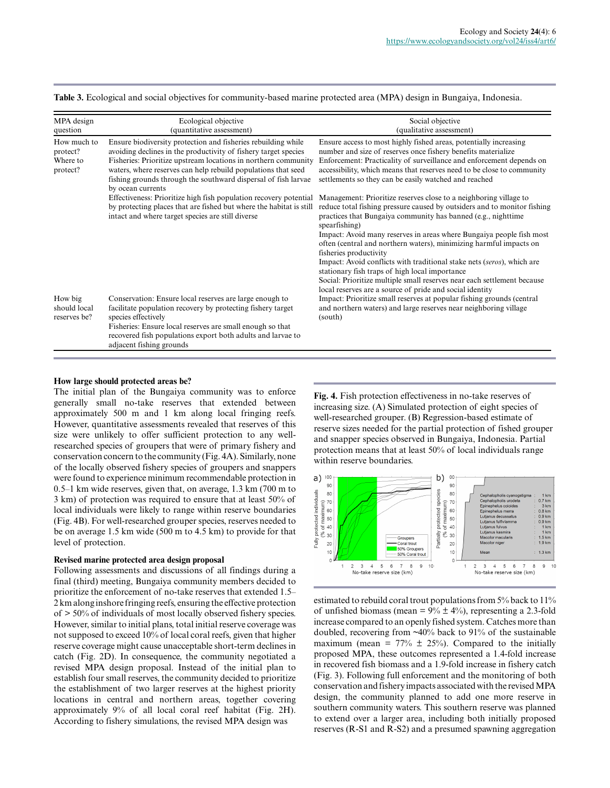**Table 3.** Ecological and social objectives for community-based marine protected area (MPA) design in Bungaiya, Indonesia.

| MPA design<br>question                          | Ecological objective<br>(quantitative assessment)                                                                                                                                                                                                                                                                                                          | Social objective<br>(qualitative assessment)                                                                                                                                                                                                                                                                                                                                                                                                                                                                                                                                                                                                                               |  |  |
|-------------------------------------------------|------------------------------------------------------------------------------------------------------------------------------------------------------------------------------------------------------------------------------------------------------------------------------------------------------------------------------------------------------------|----------------------------------------------------------------------------------------------------------------------------------------------------------------------------------------------------------------------------------------------------------------------------------------------------------------------------------------------------------------------------------------------------------------------------------------------------------------------------------------------------------------------------------------------------------------------------------------------------------------------------------------------------------------------------|--|--|
| How much to<br>protect?<br>Where to<br>protect? | Ensure biodiversity protection and fisheries rebuilding while<br>avoiding declines in the productivity of fishery target species<br>Fisheries: Prioritize upstream locations in northern community<br>waters, where reserves can help rebuild populations that seed<br>fishing grounds through the southward dispersal of fish larvae<br>by ocean currents | Ensure access to most highly fished areas, potentially increasing<br>number and size of reserves once fishery benefits materialize<br>Enforcement: Practicality of surveillance and enforcement depends on<br>accessibility, which means that reserves need to be close to community<br>settlements so they can be easily watched and reached                                                                                                                                                                                                                                                                                                                              |  |  |
|                                                 | Effectiveness: Prioritize high fish population recovery potential<br>by protecting places that are fished but where the habitat is still<br>intact and where target species are still diverse                                                                                                                                                              | Management: Prioritize reserves close to a neighboring village to<br>reduce total fishing pressure caused by outsiders and to monitor fishing<br>practices that Bungaiya community has banned (e.g., nighttime<br>spearfishing)<br>Impact: Avoid many reserves in areas where Bungaiya people fish most<br>often (central and northern waters), minimizing harmful impacts on<br>fisheries productivity<br>Impact: Avoid conflicts with traditional stake nets (seros), which are<br>stationary fish traps of high local importance<br>Social: Prioritize multiple small reserves near each settlement because<br>local reserves are a source of pride and social identity |  |  |
| How big<br>should local<br>reserves be?         | Conservation: Ensure local reserves are large enough to<br>facilitate population recovery by protecting fishery target<br>species effectively<br>Fisheries: Ensure local reserves are small enough so that<br>recovered fish populations export both adults and larvae to<br>adjacent fishing grounds                                                      | Impact: Prioritize small reserves at popular fishing grounds (central<br>and northern waters) and large reserves near neighboring village<br>(south)                                                                                                                                                                                                                                                                                                                                                                                                                                                                                                                       |  |  |

#### **How large should protected areas be?**

The initial plan of the Bungaiya community was to enforce generally small no-take reserves that extended between approximately 500 m and 1 km along local fringing reefs. However, quantitative assessments revealed that reserves of this size were unlikely to offer sufficient protection to any wellresearched species of groupers that were of primary fishery and conservation concern to the community (Fig. 4A). Similarly, none of the locally observed fishery species of groupers and snappers were found to experience minimum recommendable protection in 0.5–1 km wide reserves, given that, on average, 1.3 km (700 m to 3 km) of protection was required to ensure that at least 50% of local individuals were likely to range within reserve boundaries (Fig. 4B). For well-researched grouper species, reserves needed to be on average 1.5 km wide (500 m to 4.5 km) to provide for that level of protection.

#### **Revised marine protected area design proposal**

Following assessments and discussions of all findings during a final (third) meeting, Bungaiya community members decided to prioritize the enforcement of no-take reserves that extended 1.5– 2 km along inshore fringing reefs, ensuring the effective protection of > 50% of individuals of most locally observed fishery species. However, similar to initial plans, total initial reserve coverage was not supposed to exceed 10% of local coral reefs, given that higher reserve coverage might cause unacceptable short-term declines in catch (Fig. 2D). In consequence, the community negotiated a revised MPA design proposal. Instead of the initial plan to establish four small reserves, the community decided to prioritize the establishment of two larger reserves at the highest priority locations in central and northern areas, together covering approximately 9% of all local coral reef habitat (Fig. 2H). According to fishery simulations, the revised MPA design was

**Fig. 4.** Fish protection effectiveness in no-take reserves of increasing size. (A) Simulated protection of eight species of well-researched grouper. (B) Regression-based estimate of reserve sizes needed for the partial protection of fished grouper and snapper species observed in Bungaiya, Indonesia. Partial protection means that at least 50% of local individuals range within reserve boundaries.



estimated to rebuild coral trout populations from 5% back to 11% of unfished biomass (mean =  $9\% \pm 4\%$ ), representing a 2.3-fold increase compared to an openly fished system. Catches more than doubled, recovering from ~40% back to 91% of the sustainable maximum (mean =  $77\% \pm 25\%$ ). Compared to the initially proposed MPA, these outcomes represented a 1.4-fold increase in recovered fish biomass and a 1.9-fold increase in fishery catch (Fig. 3). Following full enforcement and the monitoring of both conservation and fishery impacts associated with the revised MPA design, the community planned to add one more reserve in southern community waters. This southern reserve was planned to extend over a larger area, including both initially proposed reserves (R-S1 and R-S2) and a presumed spawning aggregation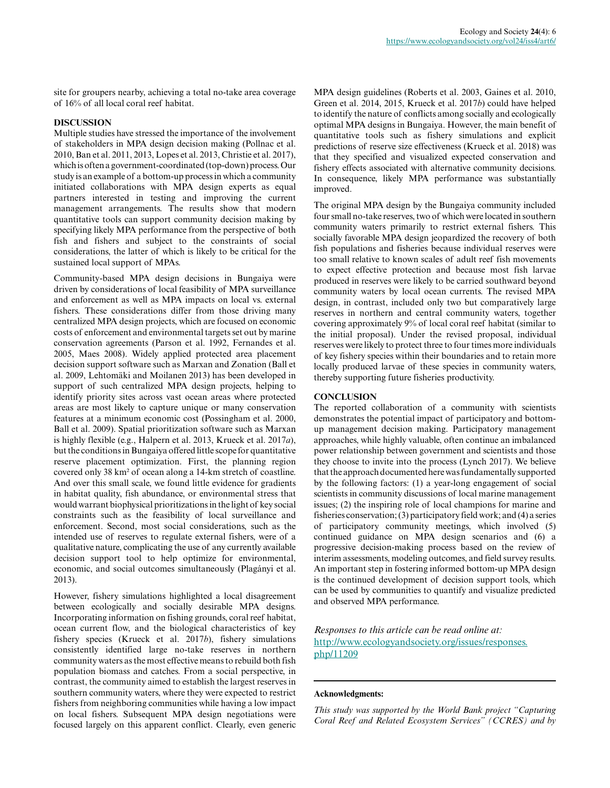site for groupers nearby, achieving a total no-take area coverage of 16% of all local coral reef habitat.

## **DISCUSSION**

Multiple studies have stressed the importance of the involvement of stakeholders in MPA design decision making (Pollnac et al. 2010, Ban et al. 2011, 2013, Lopes et al. 2013, Christie et al. 2017), which is often a government-coordinated (top-down) process. Our study is an example of a bottom-up process in which a community initiated collaborations with MPA design experts as equal partners interested in testing and improving the current management arrangements. The results show that modern quantitative tools can support community decision making by specifying likely MPA performance from the perspective of both fish and fishers and subject to the constraints of social considerations, the latter of which is likely to be critical for the sustained local support of MPAs.

Community-based MPA design decisions in Bungaiya were driven by considerations of local feasibility of MPA surveillance and enforcement as well as MPA impacts on local vs. external fishers. These considerations differ from those driving many centralized MPA design projects, which are focused on economic costs of enforcement and environmental targets set out by marine conservation agreements (Parson et al. 1992, Fernandes et al. 2005, Maes 2008). Widely applied protected area placement decision support software such as Marxan and Zonation (Ball et al. 2009, Lehtomäki and Moilanen 2013) has been developed in support of such centralized MPA design projects, helping to identify priority sites across vast ocean areas where protected areas are most likely to capture unique or many conservation features at a minimum economic cost (Possingham et al. 2000, Ball et al. 2009). Spatial prioritization software such as Marxan is highly flexible (e.g., Halpern et al. 2013, Krueck et al. 2017*a*), but the conditions in Bungaiya offered little scope for quantitative reserve placement optimization. First, the planning region covered only 38 km² of ocean along a 14-km stretch of coastline. And over this small scale, we found little evidence for gradients in habitat quality, fish abundance, or environmental stress that would warrant biophysical prioritizations in the light of key social constraints such as the feasibility of local surveillance and enforcement. Second, most social considerations, such as the intended use of reserves to regulate external fishers, were of a qualitative nature, complicating the use of any currently available decision support tool to help optimize for environmental, economic, and social outcomes simultaneously (Plagányi et al. 2013).

However, fishery simulations highlighted a local disagreement between ecologically and socially desirable MPA designs. Incorporating information on fishing grounds, coral reef habitat, ocean current flow, and the biological characteristics of key fishery species (Krueck et al. 2017*b*), fishery simulations consistently identified large no-take reserves in northern community waters as the most effective means to rebuild both fish population biomass and catches. From a social perspective, in contrast, the community aimed to establish the largest reserves in southern community waters, where they were expected to restrict fishers from neighboring communities while having a low impact on local fishers. Subsequent MPA design negotiations were focused largely on this apparent conflict. Clearly, even generic

MPA design guidelines (Roberts et al. 2003, Gaines et al. 2010, Green et al. 2014, 2015, Krueck et al. 2017*b*) could have helped to identify the nature of conflicts among socially and ecologically optimal MPA designs in Bungaiya. However, the main benefit of quantitative tools such as fishery simulations and explicit predictions of reserve size effectiveness (Krueck et al. 2018) was that they specified and visualized expected conservation and fishery effects associated with alternative community decisions. In consequence, likely MPA performance was substantially improved.

The original MPA design by the Bungaiya community included four small no-take reserves, two of which were located in southern community waters primarily to restrict external fishers. This socially favorable MPA design jeopardized the recovery of both fish populations and fisheries because individual reserves were too small relative to known scales of adult reef fish movements to expect effective protection and because most fish larvae produced in reserves were likely to be carried southward beyond community waters by local ocean currents. The revised MPA design, in contrast, included only two but comparatively large reserves in northern and central community waters, together covering approximately 9% of local coral reef habitat (similar to the initial proposal). Under the revised proposal, individual reserves were likely to protect three to four times more individuals of key fishery species within their boundaries and to retain more locally produced larvae of these species in community waters, thereby supporting future fisheries productivity.

### **CONCLUSION**

The reported collaboration of a community with scientists demonstrates the potential impact of participatory and bottomup management decision making. Participatory management approaches, while highly valuable, often continue an imbalanced power relationship between government and scientists and those they choose to invite into the process (Lynch 2017). We believe that the approach documented here was fundamentally supported by the following factors: (1) a year-long engagement of social scientists in community discussions of local marine management issues; (2) the inspiring role of local champions for marine and fisheries conservation; (3) participatory field work; and (4) a series of participatory community meetings, which involved (5) continued guidance on MPA design scenarios and (6) a progressive decision-making process based on the review of interim assessments, modeling outcomes, and field survey results. An important step in fostering informed bottom-up MPA design is the continued development of decision support tools, which can be used by communities to quantify and visualize predicted and observed MPA performance.

*Responses to this article can be read online at:* [http://www.ecologyandsociety.org/issues/responses.](http://www.ecologyandsociety.org/issues/responses.php/11209) [php/11209](http://www.ecologyandsociety.org/issues/responses.php/11209)

#### **Acknowledgments:**

*This study was supported by the World Bank project "Capturing Coral Reef and Related Ecosystem Services" (CCRES) and by*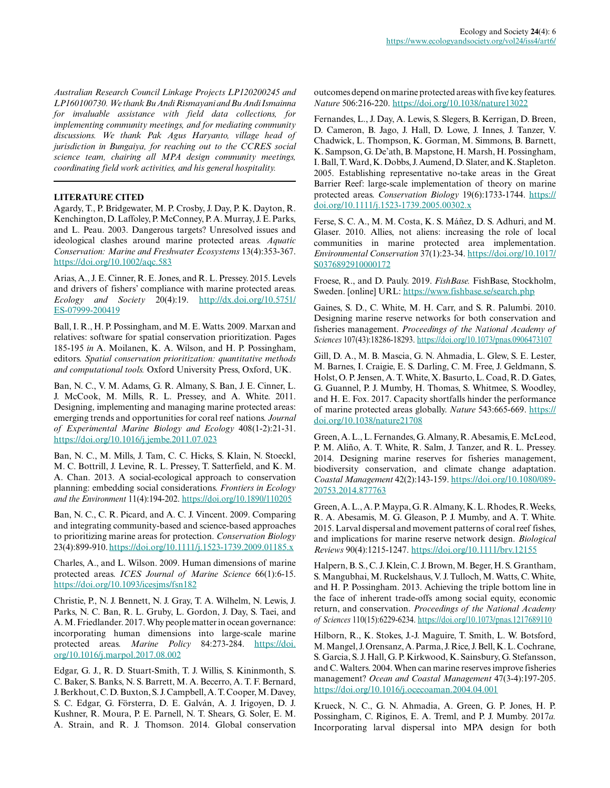*Australian Research Council Linkage Projects LP120200245 and LP160100730. We thank Bu Andi Rismayani and Bu Andi Ismainna for invaluable assistance with field data collections, for implementing community meetings, and for mediating community discussions. We thank Pak Agus Haryanto, village head of jurisdiction in Bungaiya, for reaching out to the CCRES social science team, chairing all MPA design community meetings, coordinating field work activities, and his general hospitality.*

## **LITERATURE CITED**

Agardy, T., P. Bridgewater, M. P. Crosby, J. Day, P. K. Dayton, R. Kenchington, D. Laffoley, P. McConney, P. A. Murray, J. E. Parks, and L. Peau. 2003. Dangerous targets? Unresolved issues and ideological clashes around marine protected areas. *Aquatic Conservation: Marine and Freshwater Ecosystems* 13(4):353-367. <https://doi.org/10.1002/aqc.583>

Arias, A., J. E. Cinner, R. E. Jones, and R. L. Pressey. 2015. Levels and drivers of fishers' compliance with marine protected areas. *Ecology and Society* 20(4):19. [http://dx.doi.org/10.5751/](http://dx.doi.org/10.5751/ES-07999-200419) [ES-07999-200419](http://dx.doi.org/10.5751/ES-07999-200419)

Ball, I. R., H. P. Possingham, and M. E. Watts. 2009. Marxan and relatives: software for spatial conservation prioritization. Pages 185-195 *in* A. Moilanen, K. A. Wilson, and H. P. Possingham, editors. *Spatial conservation prioritization: quantitative methods and computational tools.* Oxford University Press, Oxford, UK.

Ban, N. C., V. M. Adams, G. R. Almany, S. Ban, J. E. Cinner, L. J. McCook, M. Mills, R. L. Pressey, and A. White. 2011. Designing, implementing and managing marine protected areas: emerging trends and opportunities for coral reef nations. *Journal of Experimental Marine Biology and Ecology* 408(1-2):21-31. <https://doi.org/10.1016/j.jembe.2011.07.023>

Ban, N. C., M. Mills, J. Tam, C. C. Hicks, S. Klain, N. Stoeckl, M. C. Bottrill, J. Levine, R. L. Pressey, T. Satterfield, and K. M. A. Chan. 2013. A social-ecological approach to conservation planning: embedding social considerations. *Frontiers in Ecology and the Environment* 11(4):194-202. <https://doi.org/10.1890/110205>

Ban, N. C., C. R. Picard, and A. C. J. Vincent. 2009. Comparing and integrating community-based and science-based approaches to prioritizing marine areas for protection. *Conservation Biology* 23(4):899-910.<https://doi.org/10.1111/j.1523-1739.2009.01185.x>

Charles, A., and L. Wilson. 2009. Human dimensions of marine protected areas. *ICES Journal of Marine Science* 66(1):6-15. <https://doi.org/10.1093/icesjms/fsn182>

Christie, P., N. J. Bennett, N. J. Gray, T. A. Wilhelm, N. Lewis, J. Parks, N. C. Ban, R. L. Gruby, L. Gordon, J. Day, S. Taei, and A. M. Friedlander. 2017. Why people matter in ocean governance: incorporating human dimensions into large-scale marine protected areas. *Marine Policy* 84:273-284. [https://doi.](https://doi.org/10.1016/j.marpol.2017.08.002) [org/10.1016/j.marpol.2017.08.002](https://doi.org/10.1016/j.marpol.2017.08.002) 

Edgar, G. J., R. D. Stuart-Smith, T. J. Willis, S. Kininmonth, S. C. Baker, S. Banks, N. S. Barrett, M. A. Becerro, A. T. F. Bernard, J. Berkhout, C. D. Buxton, S. J. Campbell, A. T. Cooper, M. Davey, S. C. Edgar, G. Försterra, D. E. Galván, A. J. Irigoyen, D. J. Kushner, R. Moura, P. E. Parnell, N. T. Shears, G. Soler, E. M. A. Strain, and R. J. Thomson. 2014. Global conservation outcomes depend on marine protected areas with five key features. *Nature* 506:216-220. <https://doi.org/10.1038/nature13022>

Fernandes, L., J. Day, A. Lewis, S. Slegers, B. Kerrigan, D. Breen, D. Cameron, B. Jago, J. Hall, D. Lowe, J. Innes, J. Tanzer, V. Chadwick, L. Thompson, K. Gorman, M. Simmons, B. Barnett, K. Sampson, G. De'ath, B. Mapstone, H. Marsh, H. Possingham, I. Ball, T. Ward, K. Dobbs, J. Aumend, D. Slater, and K. Stapleton. 2005. Establishing representative no-take areas in the Great Barrier Reef: large-scale implementation of theory on marine protected areas. *Conservation Biology* 19(6):1733-1744. [https://](https://doi.org/10.1111/j.1523-1739.2005.00302.x) [doi.org/10.1111/j.1523-1739.2005.00302.x](https://doi.org/10.1111/j.1523-1739.2005.00302.x)

Ferse, S. C. A., M. M. Costa, K. S. Máñez, D. S. Adhuri, and M. Glaser. 2010. Allies, not aliens: increasing the role of local communities in marine protected area implementation. *Environmental Conservation* 37(1):23-34. [https://doi.org/10.1017/](https://doi.org/10.1017/S0376892910000172) [S0376892910000172](https://doi.org/10.1017/S0376892910000172) 

Froese, R., and D. Pauly. 2019. *FishBase.* FishBase, Stockholm, Sweden. [online] URL: https://www.fishbase.se/search.php

Gaines, S. D., C. White, M. H. Carr, and S. R. Palumbi. 2010. Designing marine reserve networks for both conservation and fisheries management. *Proceedings of the National Academy of Sciences* 107(43):18286-18293. <https://doi.org/10.1073/pnas.0906473107>

Gill, D. A., M. B. Mascia, G. N. Ahmadia, L. Glew, S. E. Lester, M. Barnes, I. Craigie, E. S. Darling, C. M. Free, J. Geldmann, S. Holst, O. P. Jensen, A. T. White, X. Basurto, L. Coad, R. D. Gates, G. Guannel, P. J. Mumby, H. Thomas, S. Whitmee, S. Woodley, and H. E. Fox. 2017. Capacity shortfalls hinder the performance of marine protected areas globally. *Nature* 543:665-669. [https://](https://doi.org/10.1038/nature21708) [doi.org/10.1038/nature21708](https://doi.org/10.1038/nature21708) 

Green, A. L., L. Fernandes, G. Almany, R. Abesamis, E. McLeod, P. M. Aliño, A. T. White, R. Salm, J. Tanzer, and R. L. Pressey. 2014. Designing marine reserves for fisheries management, biodiversity conservation, and climate change adaptation. *Coastal Management* 42(2):143-159. [https://doi.org/10.1080/089](https://doi.org/10.1080/08920753.2014.877763) [20753.2014.877763](https://doi.org/10.1080/08920753.2014.877763)

Green, A. L., A. P. Maypa, G. R. Almany, K. L. Rhodes, R. Weeks, R. A. Abesamis, M. G. Gleason, P. J. Mumby, and A. T. White. 2015. Larval dispersal and movement patterns of coral reef fishes, and implications for marine reserve network design. *Biological Reviews* 90(4):1215-1247. <https://doi.org/10.1111/brv.12155>

Halpern, B. S., C. J. Klein, C. J. Brown, M. Beger, H. S. Grantham, S. Mangubhai, M. Ruckelshaus, V. J. Tulloch, M. Watts, C. White, and H. P. Possingham. 2013. Achieving the triple bottom line in the face of inherent trade-offs among social equity, economic return, and conservation. *Proceedings of the National Academy of Sciences* 110(15):6229-6234.<https://doi.org/10.1073/pnas.1217689110>

Hilborn, R., K. Stokes, J.-J. Maguire, T. Smith, L. W. Botsford, M. Mangel, J. Orensanz, A. Parma, J. Rice, J. Bell, K. L. Cochrane, S. Garcia, S. J. Hall, G. P. Kirkwood, K. Sainsbury, G. Stefansson, and C. Walters. 2004. When can marine reserves improve fisheries management? *Ocean and Coastal Management* 47(3-4):197-205. <https://doi.org/10.1016/j.ocecoaman.2004.04.001>

Krueck, N. C., G. N. Ahmadia, A. Green, G. P. Jones, H. P. Possingham, C. Riginos, E. A. Treml, and P. J. Mumby. 2017*a.* Incorporating larval dispersal into MPA design for both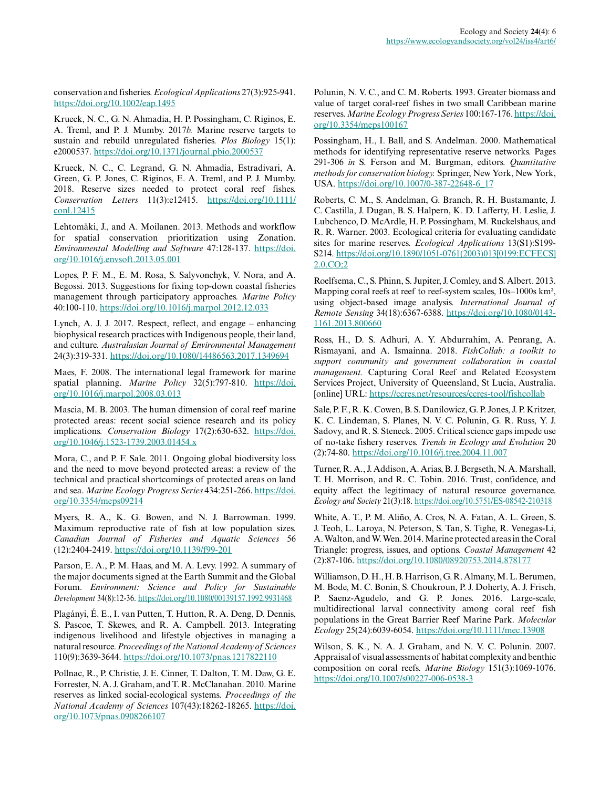conservation and fisheries. *Ecological Applications* 27(3):925-941. <https://doi.org/10.1002/eap.1495>

Krueck, N. C., G. N. Ahmadia, H. P. Possingham, C. Riginos, E. A. Treml, and P. J. Mumby. 2017*b.* Marine reserve targets to sustain and rebuild unregulated fisheries. *Plos Biology* 15(1): e2000537.<https://doi.org/10.1371/journal.pbio.2000537>

Krueck, N. C., C. Legrand, G. N. Ahmadia, Estradivari, A. Green, G. P. Jones, C. Riginos, E. A. Treml, and P. J. Mumby. 2018. Reserve sizes needed to protect coral reef fishes. *Conservation Letters* 11(3):e12415. [https://doi.org/10.1111/](https://doi.org/10.1111/conl.12415) [conl.12415](https://doi.org/10.1111/conl.12415)

Lehtomäki, J., and A. Moilanen. 2013. Methods and workflow for spatial conservation prioritization using Zonation. *Environmental Modelling and Software* 47:128-137. [https://doi.](https://doi.org/10.1016/j.envsoft.2013.05.001) [org/10.1016/j.envsoft.2013.05.001](https://doi.org/10.1016/j.envsoft.2013.05.001)

Lopes, P. F. M., E. M. Rosa, S. Salyvonchyk, V. Nora, and A. Begossi. 2013. Suggestions for fixing top-down coastal fisheries management through participatory approaches. *Marine Policy* 40:100-110.<https://doi.org/10.1016/j.marpol.2012.12.033>

Lynch, A. J. J. 2017. Respect, reflect, and engage – enhancing biophysical research practices with Indigenous people, their land, and culture. *Australasian Journal of Environmental Management* 24(3):319-331. <https://doi.org/10.1080/14486563.2017.1349694>

Maes, F. 2008. The international legal framework for marine spatial planning. *Marine Policy* 32(5):797-810. [https://doi.](https://doi.org/10.1016/j.marpol.2008.03.013) [org/10.1016/j.marpol.2008.03.013](https://doi.org/10.1016/j.marpol.2008.03.013) 

Mascia, M. B. 2003. The human dimension of coral reef marine protected areas: recent social science research and its policy implications. *Conservation Biology* 17(2):630-632. [https://doi.](https://doi.org/10.1046/j.1523-1739.2003.01454.x) [org/10.1046/j.1523-1739.2003.01454.x](https://doi.org/10.1046/j.1523-1739.2003.01454.x)

Mora, C., and P. F. Sale. 2011. Ongoing global biodiversity loss and the need to move beyond protected areas: a review of the technical and practical shortcomings of protected areas on land and sea. *Marine Ecology Progress Series* 434:251-266. [https://doi.](https://doi.org/10.3354/meps09214) [org/10.3354/meps09214](https://doi.org/10.3354/meps09214)

Myers, R. A., K. G. Bowen, and N. J. Barrowman. 1999. Maximum reproductive rate of fish at low population sizes. *Canadian Journal of Fisheries and Aquatic Sciences* 56 (12):2404-2419.<https://doi.org/10.1139/f99-201>

Parson, E. A., P. M. Haas, and M. A. Levy. 1992. A summary of the major documents signed at the Earth Summit and the Global Forum. *Environment: Science and Policy for Sustainable Development* 34(8):12-36. <https://doi.org/10.1080/00139157.1992.9931468>

Plagányi, É. E., I. van Putten, T. Hutton, R. A. Deng, D. Dennis, S. Pascoe, T. Skewes, and R. A. Campbell. 2013. Integrating indigenous livelihood and lifestyle objectives in managing a natural resource. *Proceedings of the National Academy of Sciences* 110(9):3639-3644.<https://doi.org/10.1073/pnas.1217822110>

Pollnac, R., P. Christie, J. E. Cinner, T. Dalton, T. M. Daw, G. E. Forrester, N. A. J. Graham, and T. R. McClanahan. 2010. Marine reserves as linked social-ecological systems. *Proceedings of the National Academy of Sciences* 107(43):18262-18265. [https://doi.](https://doi.org/10.1073/pnas.0908266107) [org/10.1073/pnas.0908266107](https://doi.org/10.1073/pnas.0908266107) 

Polunin, N. V. C., and C. M. Roberts. 1993. Greater biomass and value of target coral-reef fishes in two small Caribbean marine reserves. *Marine Ecology Progress Series* 100:167-176. [https://doi.](https://doi.org/10.3354/meps100167) [org/10.3354/meps100167](https://doi.org/10.3354/meps100167) 

Possingham, H., I. Ball, and S. Andelman. 2000. Mathematical methods for identifying representative reserve networks. Pages 291-306 *in* S. Ferson and M. Burgman, editors. *Quantitative methods for conservation biology.* Springer, New York, New York, USA. [https://doi.org/10.1007/0-387-22648-6\\_17](https://doi.org/10.1007/0-387-22648-6_17)

Roberts, C. M., S. Andelman, G. Branch, R. H. Bustamante, J. C. Castilla, J. Dugan, B. S. Halpern, K. D. Lafferty, H. Leslie, J. Lubchenco, D. McArdle, H. P. Possingham, M. Ruckelshaus, and R. R. Warner. 2003. Ecological criteria for evaluating candidate sites for marine reserves. *Ecological Applications* 13(S1):S199- S214. [https://doi.org/10.1890/1051-0761\(2003\)013\[0199:ECFECS\]](https://doi.org/10.1890/1051-0761(2003)013[0199:ECFECS]2.0.CO;2) [2.0.CO;2](https://doi.org/10.1890/1051-0761(2003)013[0199:ECFECS]2.0.CO;2)

Roelfsema, C., S. Phinn, S. Jupiter, J. Comley, and S. Albert. 2013. Mapping coral reefs at reef to reef-system scales,  $10s-1000s$  km<sup>2</sup>, using object-based image analysis. *International Journal of Remote Sensing* 34(18):6367-6388. [https://doi.org/10.1080/0143](https://doi.org/10.1080/01431161.2013.800660) [1161.2013.800660](https://doi.org/10.1080/01431161.2013.800660) 

Ross, H., D. S. Adhuri, A. Y. Abdurrahim, A. Penrang, A. Rismayani, and A. Ismainna. 2018. *FishCollab: a toolkit to support community and government collaboration in coastal management.* Capturing Coral Reef and Related Ecosystem Services Project, University of Queensland, St Lucia, Australia. [online] URL: <https://ccres.net/resources/ccres-tool/fishcollab>

Sale, P. F., R. K. Cowen, B. S. Danilowicz, G. P. Jones, J. P. Kritzer, K. C. Lindeman, S. Planes, N. V. C. Polunin, G. R. Russ, Y. J. Sadovy, and R. S. Steneck. 2005. Critical science gaps impede use of no-take fishery reserves. *Trends in Ecology and Evolution* 20 (2):74-80. <https://doi.org/10.1016/j.tree.2004.11.007>

Turner, R. A., J. Addison, A. Arias, B. J. Bergseth, N. A. Marshall, T. H. Morrison, and R. C. Tobin. 2016. Trust, confidence, and equity affect the legitimacy of natural resource governance. *Ecology and Society* 21(3):18.<https://doi.org/10.5751/ES-08542-210318>

White, A. T., P. M. Aliño, A. Cros, N. A. Fatan, A. L. Green, S. J. Teoh, L. Laroya, N. Peterson, S. Tan, S. Tighe, R. Venegas-Li, A. Walton, and W. Wen. 2014. Marine protected areas in the Coral Triangle: progress, issues, and options. *Coastal Management* 42 (2):87-106.<https://doi.org/10.1080/08920753.2014.878177>

Williamson, D. H., H. B. Harrison, G. R. Almany, M. L. Berumen, M. Bode, M. C. Bonin, S. Choukroun, P. J. Doherty, A. J. Frisch, P. Saenz-Agudelo, and G. P. Jones. 2016. Large-scale, multidirectional larval connectivity among coral reef fish populations in the Great Barrier Reef Marine Park. *Molecular Ecology* 25(24):6039-6054. <https://doi.org/10.1111/mec.13908>

Wilson, S. K., N. A. J. Graham, and N. V. C. Polunin. 2007. Appraisal of visual assessments of habitat complexity and benthic composition on coral reefs. *Marine Biology* 151(3):1069-1076. <https://doi.org/10.1007/s00227-006-0538-3>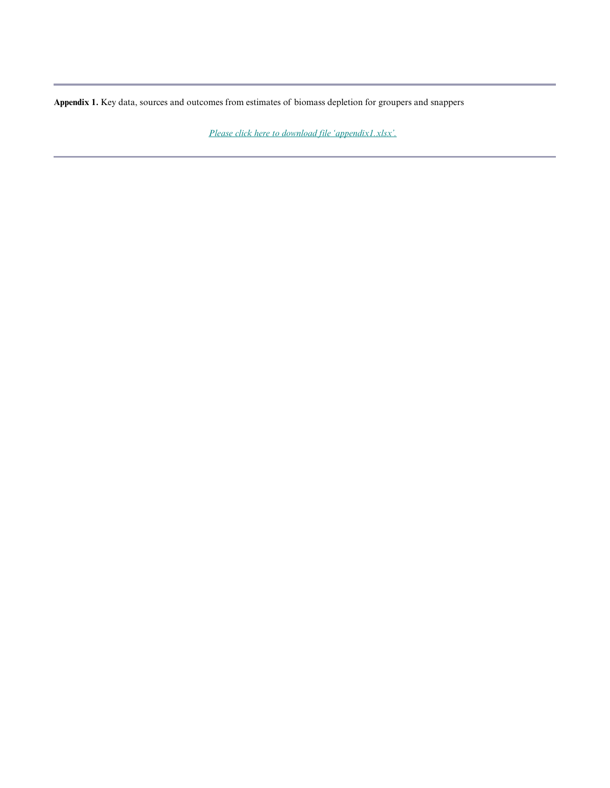**Appendix 1.** Key data, sources and outcomes from estimates of biomass depletion for groupers and snappers

*[Please click here to download file 'appendix1.xlsx'.](https://www.ecologyandsociety.org/11209/appendix1.xlsx)*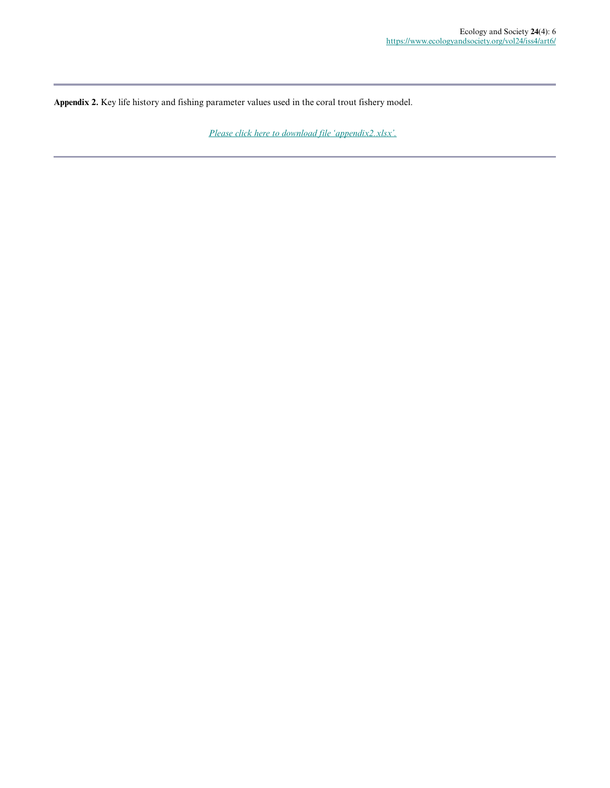**Appendix 2.** Key life history and fishing parameter values used in the coral trout fishery model.

*[Please click here to download file 'appendix2.xlsx'.](https://www.ecologyandsociety.org/11209/appendix2.xlsx)*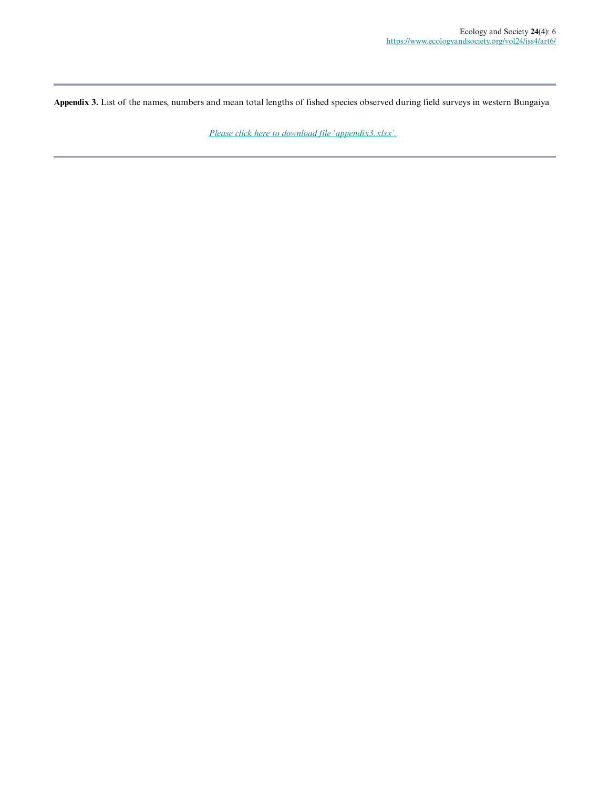**Appendix 3.** List of the names, numbers and mean total lengths of fished species observed during field surveys in western Bungaiya

*[Please click here to download file 'appendix3.xlsx'.](https://www.ecologyandsociety.org/11209/appendix3.xlsx)*